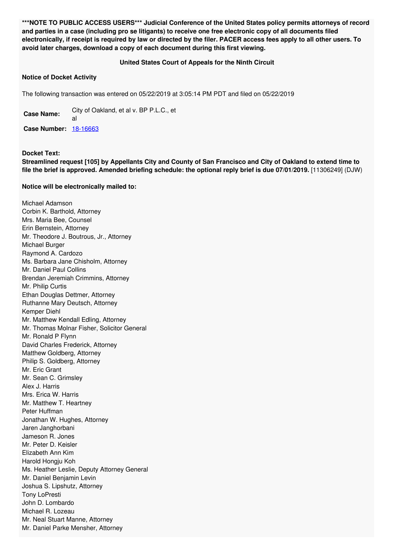**\*\*\*NOTE TO PUBLIC ACCESS USERS\*\*\* Judicial Conference of the United States policy permits attorneys of record** and parties in a case (including pro se litigants) to receive one free electronic copy of all documents filed electronically, if receipt is required by law or directed by the filer. PACER access fees apply to all other users. To **avoid later charges, download a copy of each document during this first viewing.**

## **United States Court of Appeals for the Ninth Circuit**

## **Notice of Docket Activity**

The following transaction was entered on 05/22/2019 at 3:05:14 PM PDT and filed on 05/22/2019

**Case Name:** City of Oakland, et al v. BP P.L.C., et al **Case Number:** [18-16663](https://ecf.ca9.uscourts.gov/n/beam/servlet/TransportRoom?servlet=DocketReportFilter.jsp&caseId=304946)

**Docket Text:**

Streamlined request [105] by Appellants City and County of San Francisco and City of Oakland to extend time to **file the brief is approved. Amended briefing schedule: the optional reply brief is due 07/01/2019.** [11306249] (DJW)

## **Notice will be electronically mailed to:**

Michael Adamson Corbin K. Barthold, Attorney Mrs. Maria Bee, Counsel Erin Bernstein, Attorney Mr. Theodore J. Boutrous, Jr., Attorney Michael Burger Raymond A. Cardozo Ms. Barbara Jane Chisholm, Attorney Mr. Daniel Paul Collins Brendan Jeremiah Crimmins, Attorney Mr. Philip Curtis Ethan Douglas Dettmer, Attorney Ruthanne Mary Deutsch, Attorney Kemper Diehl Mr. Matthew Kendall Edling, Attorney Mr. Thomas Molnar Fisher, Solicitor General Mr. Ronald P Flynn David Charles Frederick, Attorney Matthew Goldberg, Attorney Philip S. Goldberg, Attorney Mr. Eric Grant Mr. Sean C. Grimsley Alex J. Harris Mrs. Erica W. Harris Mr. Matthew T. Heartney Peter Huffman Jonathan W. Hughes, Attorney Jaren Janghorbani Jameson R. Jones Mr. Peter D. Keisler Elizabeth Ann Kim Harold Hongju Koh Ms. Heather Leslie, Deputy Attorney General Mr. Daniel Benjamin Levin Joshua S. Lipshutz, Attorney Tony LoPresti John D. Lombardo Michael R. Lozeau Mr. Neal Stuart Manne, Attorney Mr. Daniel Parke Mensher, Attorney